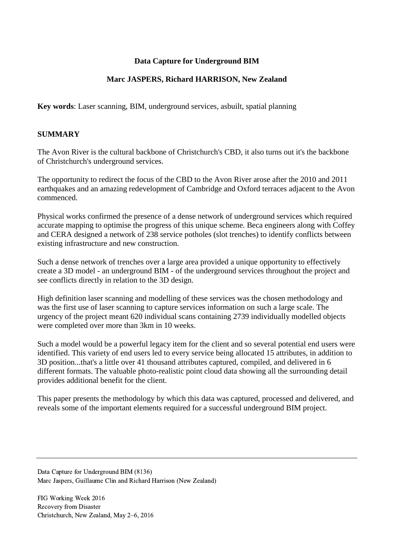## **Data Capture for Underground BIM**

## **Marc JASPERS, Richard HARRISON, New Zealand**

**Key words**: Laser scanning, BIM, underground services, asbuilt, spatial planning

#### **SUMMARY**

The Avon River is the cultural backbone of Christchurch's CBD, it also turns out it's the backbone of Christchurch's underground services.

The opportunity to redirect the focus of the CBD to the Avon River arose after the 2010 and 2011 earthquakes and an amazing redevelopment of Cambridge and Oxford terraces adjacent to the Avon commenced.

Physical works confirmed the presence of a dense network of underground services which required accurate mapping to optimise the progress of this unique scheme. Beca engineers along with Coffey and CERA designed a network of 238 service potholes (slot trenches) to identify conflicts between existing infrastructure and new construction.

Such a dense network of trenches over a large area provided a unique opportunity to effectively create a 3D model - an underground BIM - of the underground services throughout the project and see conflicts directly in relation to the 3D design.

High definition laser scanning and modelling of these services was the chosen methodology and was the first use of laser scanning to capture services information on such a large scale. The urgency of the project meant 620 individual scans containing 2739 individually modelled objects were completed over more than 3km in 10 weeks.

Such a model would be a powerful legacy item for the client and so several potential end users were identified. This variety of end users led to every service being allocated 15 attributes, in addition to 3D position...that's a little over 41 thousand attributes captured, compiled, and delivered in 6 different formats. The valuable photo-realistic point cloud data showing all the surrounding detail provides additional benefit for the client.

This paper presents the methodology by which this data was captured, processed and delivered, and reveals some of the important elements required for a successful underground BIM project.

Data Capture for Underground BIM (8136) Marc Jaspers, Guillaume Clin and Richard Harrison (New Zealand)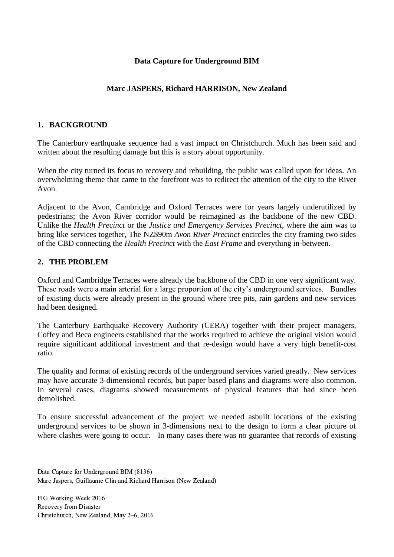## **Data Capture for Underground BIM**

# **Marc JASPERS, Richard HARRISON, New Zealand**

## **1. BACKGROUND**

The Canterbury earthquake sequence had a vast impact on Christchurch. Much has been said and written about the resulting damage but this is a story about opportunity.

When the city turned its focus to recovery and rebuilding, the public was called upon for ideas. An overwhelming theme that came to the forefront was to redirect the attention of the city to the River Avon.

Adjacent to the Avon, Cambridge and Oxford Terraces were for years largely underutilized by pedestrians; the Avon River corridor would be reimagined as the backbone of the new CBD. Unlike the *Health Precinct* or the *Justice and Emergency Services Precinct*, where the aim was to bring like services together, The NZ\$90m *Avon River Precinct* encircles the city framing two sides of the CBD connecting the *Health Precinct* with the *East Frame* and everything in-between.

## **2. THE PROBLEM**

Oxford and Cambridge Terraces were already the backbone of the CBD in one very significant way. These roads were a main arterial for a large proportion of the city's underground services. Bundles of existing ducts were already present in the ground where tree pits, rain gardens and new services had been designed.

The Canterbury Earthquake Recovery Authority (CERA) together with their project managers, Coffey and Beca engineers established that the works required to achieve the original vision would require significant additional investment and that re-design would have a very high benefit-cost ratio.

The quality and format of existing records of the underground services varied greatly. New services may have accurate 3-dimensional records, but paper based plans and diagrams were also common. In several cases, diagrams showed measurements of physical features that had since been demolished.

To ensure successful advancement of the project we needed asbuilt locations of the existing underground services to be shown in 3-dimensions next to the design to form a clear picture of where clashes were going to occur. In many cases there was no guarantee that records of existing

Data Capture for Underground BIM (8136) Marc Jaspers, Guillaume Clin and Richard Harrison (New Zealand)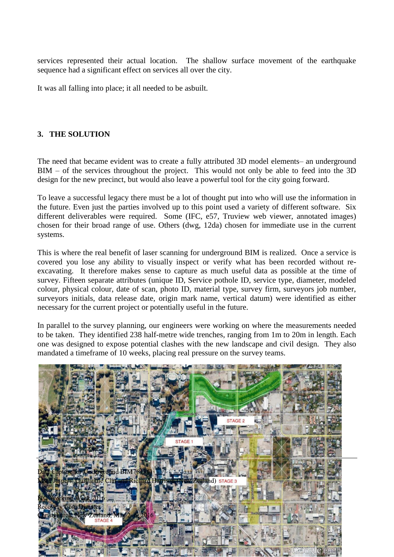services represented their actual location. The shallow surface movement of the earthquake sequence had a significant effect on services all over the city.

It was all falling into place; it all needed to be asbuilt.

## **3. THE SOLUTION**

The need that became evident was to create a fully attributed 3D model elements– an underground BIM – of the services throughout the project. This would not only be able to feed into the 3D design for the new precinct, but would also leave a powerful tool for the city going forward.

To leave a successful legacy there must be a lot of thought put into who will use the information in the future. Even just the parties involved up to this point used a variety of different software. Six different deliverables were required. Some (IFC, e57, Truview web viewer, annotated images) chosen for their broad range of use. Others (dwg, 12da) chosen for immediate use in the current systems.

This is where the real benefit of laser scanning for underground BIM is realized. Once a service is covered you lose any ability to visually inspect or verify what has been recorded without reexcavating. It therefore makes sense to capture as much useful data as possible at the time of survey. Fifteen separate attributes (unique ID, Service pothole ID, service type, diameter, modeled colour, physical colour, date of scan, photo ID, material type, survey firm, surveyors job number, surveyors initials, data release date, origin mark name, vertical datum) were identified as either necessary for the current project or potentially useful in the future.

In parallel to the survey planning, our engineers were working on where the measurements needed to be taken. They identified 238 half-metre wide trenches, ranging from 1m to 20m in length. Each one was designed to expose potential clashes with the new landscape and civil design. They also mandated a timeframe of 10 weeks, placing real pressure on the survey teams.

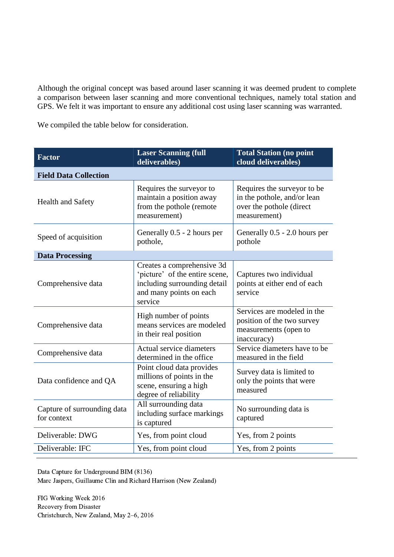Although the original concept was based around laser scanning it was deemed prudent to complete a comparison between laser scanning and more conventional techniques, namely total station and GPS. We felt it was important to ensure any additional cost using laser scanning was warranted.

We compiled the table below for consideration.

| <b>Factor</b>                              | <b>Laser Scanning (full</b><br>deliverables)                                                                                       | <b>Total Station (no point</b><br>cloud deliverables)                                                  |  |  |
|--------------------------------------------|------------------------------------------------------------------------------------------------------------------------------------|--------------------------------------------------------------------------------------------------------|--|--|
| <b>Field Data Collection</b>               |                                                                                                                                    |                                                                                                        |  |  |
| <b>Health and Safety</b>                   | Requires the surveyor to<br>maintain a position away<br>from the pothole (remote<br>measurement)                                   | Requires the surveyor to be<br>in the pothole, and/or lean<br>over the pothole (direct<br>measurement) |  |  |
| Speed of acquisition                       | Generally 0.5 - 2 hours per<br>pothole,                                                                                            | Generally 0.5 - 2.0 hours per<br>pothole                                                               |  |  |
| <b>Data Processing</b>                     |                                                                                                                                    |                                                                                                        |  |  |
| Comprehensive data                         | Creates a comprehensive 3d<br>'picture' of the entire scene,<br>including surrounding detail<br>and many points on each<br>service | Captures two individual<br>points at either end of each<br>service                                     |  |  |
| Comprehensive data                         | High number of points<br>means services are modeled<br>in their real position                                                      | Services are modeled in the<br>position of the two survey<br>measurements (open to<br>inaccuracy)      |  |  |
| Comprehensive data                         | Actual service diameters<br>determined in the office                                                                               | Service diameters have to be<br>measured in the field                                                  |  |  |
| Data confidence and QA                     | Point cloud data provides<br>millions of points in the<br>scene, ensuring a high<br>degree of reliability                          | Survey data is limited to<br>only the points that were<br>measured                                     |  |  |
| Capture of surrounding data<br>for context | All surrounding data<br>including surface markings<br>is captured                                                                  | No surrounding data is<br>captured                                                                     |  |  |
| Deliverable: DWG                           | Yes, from point cloud                                                                                                              | Yes, from 2 points                                                                                     |  |  |
| Deliverable: IFC                           | Yes, from point cloud                                                                                                              | Yes, from 2 points                                                                                     |  |  |

Data Capture for Underground BIM (8136) Marc Jaspers, Guillaume Clin and Richard Harrison (New Zealand)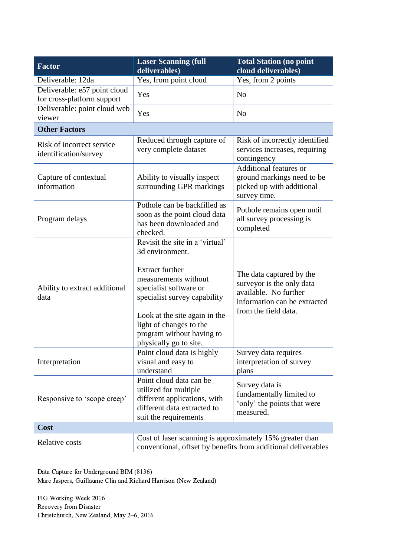| <b>Factor</b>                                              | <b>Laser Scanning (full</b><br>deliverables)                                                                                                                                                                                                                                      | <b>Total Station (no point</b><br>cloud deliverables)                                                                                  |  |  |
|------------------------------------------------------------|-----------------------------------------------------------------------------------------------------------------------------------------------------------------------------------------------------------------------------------------------------------------------------------|----------------------------------------------------------------------------------------------------------------------------------------|--|--|
| Deliverable: 12da                                          | Yes, from point cloud                                                                                                                                                                                                                                                             | Yes, from 2 points                                                                                                                     |  |  |
| Deliverable: e57 point cloud<br>for cross-platform support | Yes                                                                                                                                                                                                                                                                               | N <sub>o</sub>                                                                                                                         |  |  |
| Deliverable: point cloud web<br>viewer                     | Yes                                                                                                                                                                                                                                                                               | N <sub>o</sub>                                                                                                                         |  |  |
| <b>Other Factors</b>                                       |                                                                                                                                                                                                                                                                                   |                                                                                                                                        |  |  |
| Risk of incorrect service<br>identification/survey         | Reduced through capture of<br>very complete dataset                                                                                                                                                                                                                               | Risk of incorrectly identified<br>services increases, requiring<br>contingency                                                         |  |  |
| Capture of contextual<br>information                       | Ability to visually inspect<br>surrounding GPR markings                                                                                                                                                                                                                           | <b>Additional features or</b><br>ground markings need to be<br>picked up with additional<br>survey time.                               |  |  |
| Program delays                                             | Pothole can be backfilled as<br>soon as the point cloud data<br>has been downloaded and<br>checked.                                                                                                                                                                               | Pothole remains open until<br>all survey processing is<br>completed                                                                    |  |  |
| Ability to extract additional<br>data                      | Revisit the site in a 'virtual'<br>3d environment.<br><b>Extract further</b><br>measurements without<br>specialist software or<br>specialist survey capability<br>Look at the site again in the<br>light of changes to the<br>program without having to<br>physically go to site. | The data captured by the<br>surveyor is the only data<br>available. No further<br>information can be extracted<br>from the field data. |  |  |
| Interpretation                                             | Point cloud data is highly<br>visual and easy to<br>understand                                                                                                                                                                                                                    | Survey data requires<br>interpretation of survey<br>plans                                                                              |  |  |
| Responsive to 'scope creep'                                | Point cloud data can be<br>utilized for multiple<br>different applications, with<br>different data extracted to<br>suit the requirements                                                                                                                                          | Survey data is<br>fundamentally limited to<br>'only' the points that were<br>measured.                                                 |  |  |
| Cost                                                       |                                                                                                                                                                                                                                                                                   |                                                                                                                                        |  |  |
| Relative costs                                             | Cost of laser scanning is approximately 15% greater than<br>conventional, offset by benefits from additional deliverables                                                                                                                                                         |                                                                                                                                        |  |  |

Data Capture for Underground BIM (8136) Marc Jaspers, Guillaume Clin and Richard Harrison (New Zealand)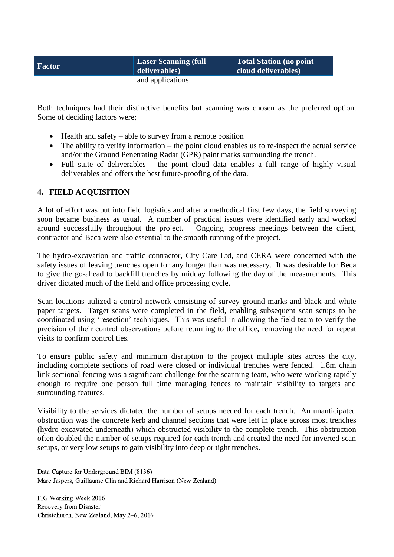| <b>Factor</b> | <b>Laser Scanning (full</b><br>deliverables) | Total Station (no point<br>cloud deliverables) |
|---------------|----------------------------------------------|------------------------------------------------|
|               | and applications.                            |                                                |

Both techniques had their distinctive benefits but scanning was chosen as the preferred option. Some of deciding factors were;

- $\bullet$  Health and safety able to survey from a remote position
- The ability to verify information the point cloud enables us to re-inspect the actual service and/or the Ground Penetrating Radar (GPR) paint marks surrounding the trench.
- Full suite of deliverables the point cloud data enables a full range of highly visual deliverables and offers the best future-proofing of the data.

#### **4. FIELD ACQUISITION**

A lot of effort was put into field logistics and after a methodical first few days, the field surveying soon became business as usual. A number of practical issues were identified early and worked around successfully throughout the project. Ongoing progress meetings between the client, contractor and Beca were also essential to the smooth running of the project.

The hydro-excavation and traffic contractor, City Care Ltd, and CERA were concerned with the safety issues of leaving trenches open for any longer than was necessary. It was desirable for Beca to give the go-ahead to backfill trenches by midday following the day of the measurements. This driver dictated much of the field and office processing cycle.

Scan locations utilized a control network consisting of survey ground marks and black and white paper targets. Target scans were completed in the field, enabling subsequent scan setups to be coordinated using 'resection' techniques. This was useful in allowing the field team to verify the precision of their control observations before returning to the office, removing the need for repeat visits to confirm control ties.

To ensure public safety and minimum disruption to the project multiple sites across the city, including complete sections of road were closed or individual trenches were fenced. 1.8m chain link sectional fencing was a significant challenge for the scanning team, who were working rapidly enough to require one person full time managing fences to maintain visibility to targets and surrounding features.

Visibility to the services dictated the number of setups needed for each trench. An unanticipated obstruction was the concrete kerb and channel sections that were left in place across most trenches (hydro-excavated underneath) which obstructed visibility to the complete trench. This obstruction often doubled the number of setups required for each trench and created the need for inverted scan setups, or very low setups to gain visibility into deep or tight trenches.

Data Capture for Underground BIM (8136) Marc Jaspers, Guillaume Clin and Richard Harrison (New Zealand)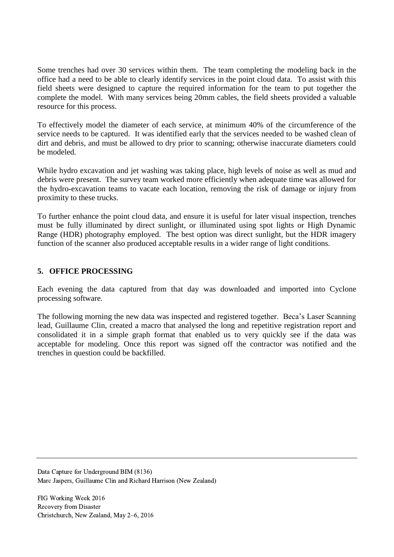Some trenches had over 30 services within them. The team completing the modeling back in the office had a need to be able to clearly identify services in the point cloud data. To assist with this field sheets were designed to capture the required information for the team to put together the complete the model. With many services being 20mm cables, the field sheets provided a valuable resource for this process.

To effectively model the diameter of each service, at minimum 40% of the circumference of the service needs to be captured. It was identified early that the services needed to be washed clean of dirt and debris, and must be allowed to dry prior to scanning; otherwise inaccurate diameters could be modeled.

While hydro excavation and jet washing was taking place, high levels of noise as well as mud and debris were present. The survey team worked more efficiently when adequate time was allowed for the hydro-excavation teams to vacate each location, removing the risk of damage or injury from proximity to these trucks.

To further enhance the point cloud data, and ensure it is useful for later visual inspection, trenches must be fully illuminated by direct sunlight, or illuminated using spot lights or High Dynamic Range (HDR) photography employed. The best option was direct sunlight, but the HDR imagery function of the scanner also produced acceptable results in a wider range of light conditions.

## **5. OFFICE PROCESSING**

Each evening the data captured from that day was downloaded and imported into Cyclone processing software.

The following morning the new data was inspected and registered together. Beca's Laser Scanning lead, Guillaume Clin, created a macro that analysed the long and repetitive registration report and consolidated it in a simple graph format that enabled us to very quickly see if the data was acceptable for modeling. Once this report was signed off the contractor was notified and the trenches in question could be backfilled.

Data Capture for Underground BIM (8136) Marc Jaspers, Guillaume Clin and Richard Harrison (New Zealand)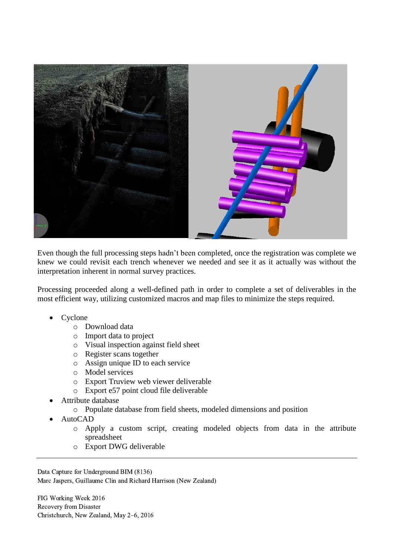

Even though the full processing steps hadn't been completed, once the registration was complete we knew we could revisit each trench whenever we needed and see it as it actually was without the interpretation inherent in normal survey practices.

Processing proceeded along a well-defined path in order to complete a set of deliverables in the most efficient way, utilizing customized macros and map files to minimize the steps required.

- Cyclone
	- o Download data
	- o Import data to project
	- o Visual inspection against field sheet
	- o Register scans together
	- o Assign unique ID to each service
	- o Model services
	- o Export Truview web viewer deliverable
	- o Export e57 point cloud file deliverable
- Attribute database
	- o Populate database from field sheets, modeled dimensions and position
- AutoCAD
	- o Apply a custom script, creating modeled objects from data in the attribute spreadsheet
	- o Export DWG deliverable

Data Capture for Underground BIM (8136) Marc Jaspers, Guillaume Clin and Richard Harrison (New Zealand)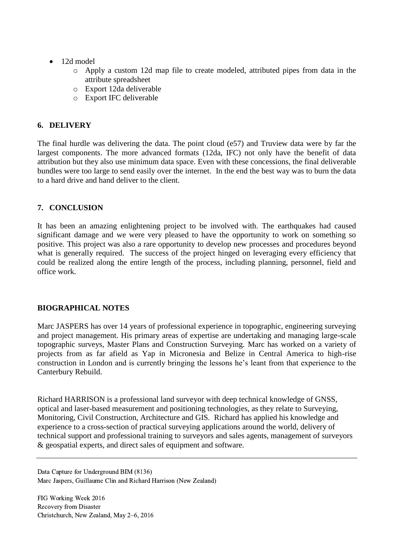- 12d model
	- o Apply a custom 12d map file to create modeled, attributed pipes from data in the attribute spreadsheet
	- o Export 12da deliverable
	- o Export IFC deliverable

## **6. DELIVERY**

The final hurdle was delivering the data. The point cloud (e57) and Truview data were by far the largest components. The more advanced formats (12da, IFC) not only have the benefit of data attribution but they also use minimum data space. Even with these concessions, the final deliverable bundles were too large to send easily over the internet. In the end the best way was to burn the data to a hard drive and hand deliver to the client.

## **7. CONCLUSION**

It has been an amazing enlightening project to be involved with. The earthquakes had caused significant damage and we were very pleased to have the opportunity to work on something so positive. This project was also a rare opportunity to develop new processes and procedures beyond what is generally required. The success of the project hinged on leveraging every efficiency that could be realized along the entire length of the process, including planning, personnel, field and office work.

## **BIOGRAPHICAL NOTES**

Marc JASPERS has over 14 years of professional experience in topographic, engineering surveying and project management. His primary areas of expertise are undertaking and managing large-scale topographic surveys, Master Plans and Construction Surveying. Marc has worked on a variety of projects from as far afield as Yap in Micronesia and Belize in Central America to high-rise construction in London and is currently bringing the lessons he's leant from that experience to the Canterbury Rebuild.

Richard HARRISON is a professional land surveyor with deep technical knowledge of GNSS, optical and laser-based measurement and positioning technologies, as they relate to Surveying, Monitoring, Civil Construction, Architecture and GIS. Richard has applied his knowledge and experience to a cross-section of practical surveying applications around the world, delivery of technical support and professional training to surveyors and sales agents, management of surveyors & geospatial experts, and direct sales of equipment and software.

Data Capture for Underground BIM (8136) Marc Jaspers, Guillaume Clin and Richard Harrison (New Zealand)